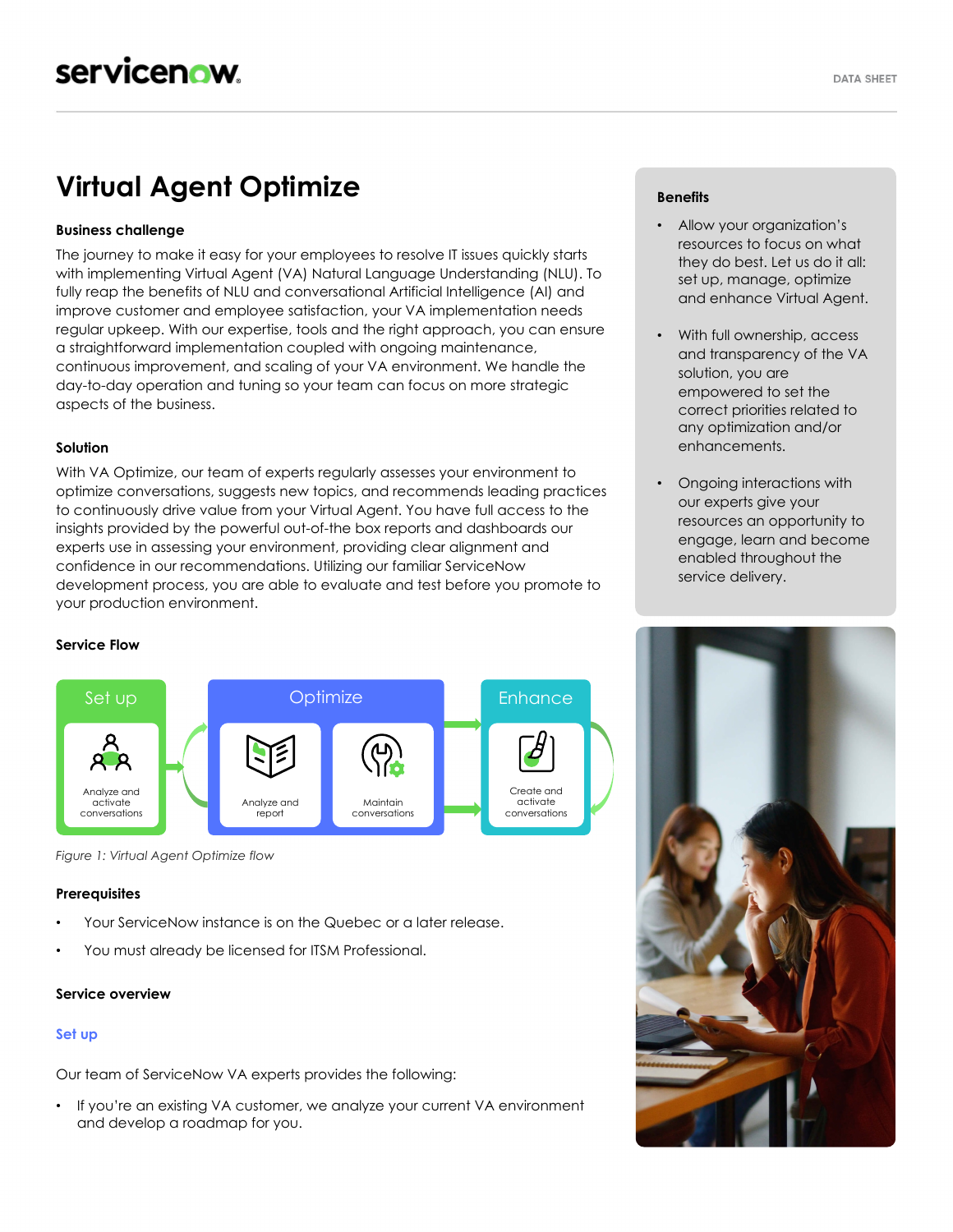# **Virtual Agent Optimize**

# **Business challenge**

The journey to make it easy for your employees to resolve IT issues quickly starts with implementing Virtual Agent (VA) Natural Language Understanding (NLU). To fully reap the benefits of NLU and conversational Artificial Intelligence (AI) and improve customer and employee satisfaction, your VA implementation needs regular upkeep. With our expertise, tools and the right approach, you can ensure a straightforward implementation coupled with ongoing maintenance, continuous improvement, and scaling of your VA environment. We handle the day-to-day operation and tuning so your team can focus on more strategic aspects of the business.

# **Solution**

With VA Optimize, our team of experts regularly assesses your environment to optimize conversations, suggests new topics, and recommends leading practices to continuously drive value from your Virtual Agent. You have full access to the insights provided by the powerful out-of-the box reports and dashboards our experts use in assessing your environment, providing clear alignment and confidence in our recommendations. Utilizing our familiar ServiceNow development process, you are able to evaluate and test before you promote to your production environment.

# **Service Flow**



*Figure 1: Virtual Agent Optimize flow*

#### **Prerequisites**

- Your ServiceNow instance is on the Quebec or a later release.
- You must already be licensed for ITSM Professional.

#### **Service overview**

#### **Set up**

Our team of ServiceNow VA experts provides the following:

• If you're an existing VA customer, we analyze your current VA environment and develop a roadmap for you.

#### **Benefits**

- Allow your organization's resources to focus on what they do best. Let us do it all: set up, manage, optimize and enhance Virtual Agent.
- With full ownership, access and transparency of the VA solution, you are empowered to set the correct priorities related to any optimization and/or enhancements.
- Ongoing interactions with our experts give your resources an opportunity to engage, learn and become enabled throughout the service delivery.